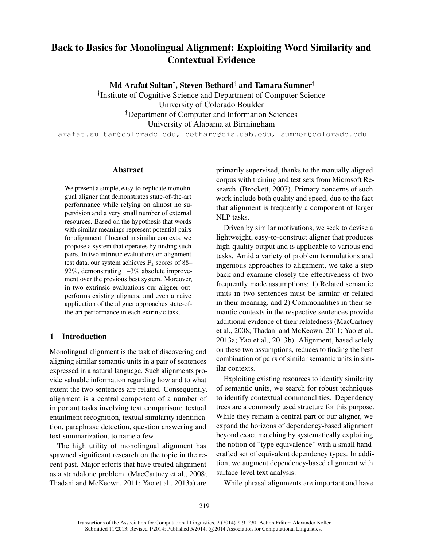# Back to Basics for Monolingual Alignment: Exploiting Word Similarity and Contextual Evidence

Md Arafat Sultan† , Steven Bethard‡ and Tamara Sumner†

† Institute of Cognitive Science and Department of Computer Science University of Colorado Boulder ‡Department of Computer and Information Sciences University of Alabama at Birmingham

arafat.sultan@colorado.edu, bethard@cis.uab.edu, sumner@colorado.edu

## Abstract

We present a simple, easy-to-replicate monolingual aligner that demonstrates state-of-the-art performance while relying on almost no supervision and a very small number of external resources. Based on the hypothesis that words with similar meanings represent potential pairs for alignment if located in similar contexts, we propose a system that operates by finding such pairs. In two intrinsic evaluations on alignment test data, our system achieves  $F_1$  scores of 88– 92%, demonstrating 1–3% absolute improvement over the previous best system. Moreover, in two extrinsic evaluations our aligner outperforms existing aligners, and even a naive application of the aligner approaches state-ofthe-art performance in each extrinsic task.

# 1 Introduction

Monolingual alignment is the task of discovering and aligning similar semantic units in a pair of sentences expressed in a natural language. Such alignments provide valuable information regarding how and to what extent the two sentences are related. Consequently, alignment is a central component of a number of important tasks involving text comparison: textual entailment recognition, textual similarity identification, paraphrase detection, question answering and text summarization, to name a few.

The high utility of monolingual alignment has spawned significant research on the topic in the recent past. Major efforts that have treated alignment as a standalone problem (MacCartney et al., 2008; Thadani and McKeown, 2011; Yao et al., 2013a) are primarily supervised, thanks to the manually aligned corpus with training and test sets from Microsoft Research (Brockett, 2007). Primary concerns of such work include both quality and speed, due to the fact that alignment is frequently a component of larger NLP tasks.

Driven by similar motivations, we seek to devise a lightweight, easy-to-construct aligner that produces high-quality output and is applicable to various end tasks. Amid a variety of problem formulations and ingenious approaches to alignment, we take a step back and examine closely the effectiveness of two frequently made assumptions: 1) Related semantic units in two sentences must be similar or related in their meaning, and 2) Commonalities in their semantic contexts in the respective sentences provide additional evidence of their relatedness (MacCartney et al., 2008; Thadani and McKeown, 2011; Yao et al., 2013a; Yao et al., 2013b). Alignment, based solely on these two assumptions, reduces to finding the best combination of pairs of similar semantic units in similar contexts.

Exploiting existing resources to identify similarity of semantic units, we search for robust techniques to identify contextual commonalities. Dependency trees are a commonly used structure for this purpose. While they remain a central part of our aligner, we expand the horizons of dependency-based alignment beyond exact matching by systematically exploiting the notion of "type equivalence" with a small handcrafted set of equivalent dependency types. In addition, we augment dependency-based alignment with surface-level text analysis.

While phrasal alignments are important and have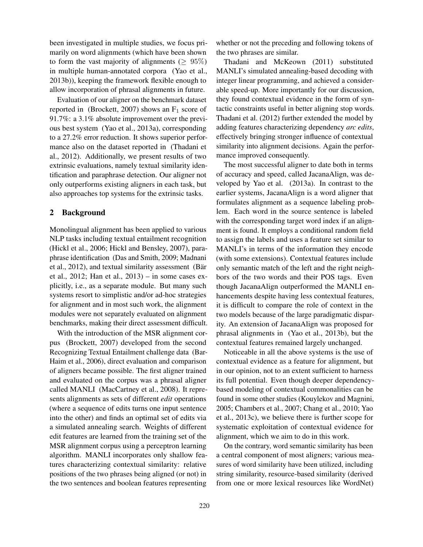been investigated in multiple studies, we focus primarily on word alignments (which have been shown to form the vast majority of alignments ( $\geq 95\%$ ) in multiple human-annotated corpora (Yao et al., 2013b)), keeping the framework flexible enough to allow incorporation of phrasal alignments in future.

Evaluation of our aligner on the benchmark dataset reported in (Brockett, 2007) shows an  $F_1$  score of 91.7%: a 3.1% absolute improvement over the previous best system (Yao et al., 2013a), corresponding to a 27.2% error reduction. It shows superior performance also on the dataset reported in (Thadani et al., 2012). Additionally, we present results of two extrinsic evaluations, namely textual similarity identification and paraphrase detection. Our aligner not only outperforms existing aligners in each task, but also approaches top systems for the extrinsic tasks.

## 2 Background

Monolingual alignment has been applied to various NLP tasks including textual entailment recognition (Hickl et al., 2006; Hickl and Bensley, 2007), paraphrase identification (Das and Smith, 2009; Madnani et al., 2012), and textual similarity assessment (Bär et al., 2012; Han et al., 2013) – in some cases explicitly, i.e., as a separate module. But many such systems resort to simplistic and/or ad-hoc strategies for alignment and in most such work, the alignment modules were not separately evaluated on alignment benchmarks, making their direct assessment difficult.

With the introduction of the MSR alignment corpus (Brockett, 2007) developed from the second Recognizing Textual Entailment challenge data (Bar-Haim et al., 2006), direct evaluation and comparison of aligners became possible. The first aligner trained and evaluated on the corpus was a phrasal aligner called MANLI (MacCartney et al., 2008). It represents alignments as sets of different *edit* operations (where a sequence of edits turns one input sentence into the other) and finds an optimal set of edits via a simulated annealing search. Weights of different edit features are learned from the training set of the MSR alignment corpus using a perceptron learning algorithm. MANLI incorporates only shallow features characterizing contextual similarity: relative positions of the two phrases being aligned (or not) in the two sentences and boolean features representing

whether or not the preceding and following tokens of the two phrases are similar.

Thadani and McKeown (2011) substituted MANLI's simulated annealing-based decoding with integer linear programming, and achieved a considerable speed-up. More importantly for our discussion, they found contextual evidence in the form of syntactic constraints useful in better aligning stop words. Thadani et al. (2012) further extended the model by adding features characterizing dependency *arc edits*, effectively bringing stronger influence of contextual similarity into alignment decisions. Again the performance improved consequently.

The most successful aligner to date both in terms of accuracy and speed, called JacanaAlign, was developed by Yao et al. (2013a). In contrast to the earlier systems, JacanaAlign is a word aligner that formulates alignment as a sequence labeling problem. Each word in the source sentence is labeled with the corresponding target word index if an alignment is found. It employs a conditional random field to assign the labels and uses a feature set similar to MANLI's in terms of the information they encode (with some extensions). Contextual features include only semantic match of the left and the right neighbors of the two words and their POS tags. Even though JacanaAlign outperformed the MANLI enhancements despite having less contextual features, it is difficult to compare the role of context in the two models because of the large paradigmatic disparity. An extension of JacanaAlign was proposed for phrasal alignments in (Yao et al., 2013b), but the contextual features remained largely unchanged.

Noticeable in all the above systems is the use of contextual evidence as a feature for alignment, but in our opinion, not to an extent sufficient to harness its full potential. Even though deeper dependencybased modeling of contextual commonalities can be found in some other studies (Kouylekov and Magnini, 2005; Chambers et al., 2007; Chang et al., 2010; Yao et al., 2013c), we believe there is further scope for systematic exploitation of contextual evidence for alignment, which we aim to do in this work.

On the contrary, word semantic similarity has been a central component of most aligners; various measures of word similarity have been utilized, including string similarity, resource-based similarity (derived from one or more lexical resources like WordNet)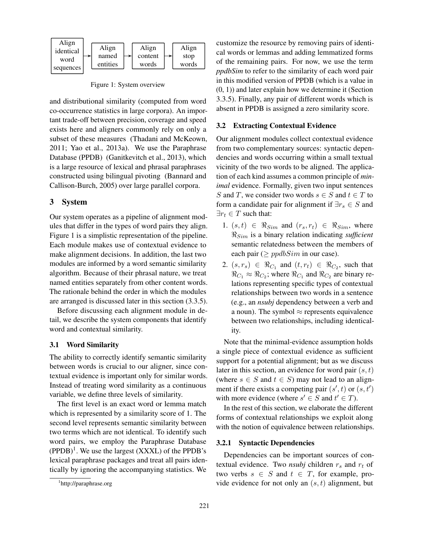

Figure 1: System overview

and distributional similarity (computed from word co-occurrence statistics in large corpora). An important trade-off between precision, coverage and speed exists here and aligners commonly rely on only a subset of these measures (Thadani and McKeown, 2011; Yao et al., 2013a). We use the Paraphrase Database (PPDB) (Ganitkevitch et al., 2013), which is a large resource of lexical and phrasal paraphrases constructed using bilingual pivoting (Bannard and Callison-Burch, 2005) over large parallel corpora.

#### 3 System

Our system operates as a pipeline of alignment modules that differ in the types of word pairs they align. Figure 1 is a simplistic representation of the pipeline. Each module makes use of contextual evidence to make alignment decisions. In addition, the last two modules are informed by a word semantic similarity algorithm. Because of their phrasal nature, we treat named entities separately from other content words. The rationale behind the order in which the modules are arranged is discussed later in this section (3.3.5).

Before discussing each alignment module in detail, we describe the system components that identify word and contextual similarity.

# 3.1 Word Similarity

The ability to correctly identify semantic similarity between words is crucial to our aligner, since contextual evidence is important only for similar words. Instead of treating word similarity as a continuous variable, we define three levels of similarity.

The first level is an exact word or lemma match which is represented by a similarity score of 1. The second level represents semantic similarity between two terms which are not identical. To identify such word pairs, we employ the Paraphrase Database  $(PPDB)^1$ . We use the largest  $(XXXL)$  of the PPDB's lexical paraphrase packages and treat all pairs identically by ignoring the accompanying statistics. We

customize the resource by removing pairs of identical words or lemmas and adding lemmatized forms of the remaining pairs. For now, we use the term *ppdbSim* to refer to the similarity of each word pair in this modified version of PPDB (which is a value in (0, 1)) and later explain how we determine it (Section 3.3.5). Finally, any pair of different words which is absent in PPDB is assigned a zero similarity score.

### 3.2 Extracting Contextual Evidence

Our alignment modules collect contextual evidence from two complementary sources: syntactic dependencies and words occurring within a small textual vicinity of the two words to be aligned. The application of each kind assumes a common principle of *minimal* evidence. Formally, given two input sentences S and T, we consider two words  $s \in S$  and  $t \in T$  to form a candidate pair for alignment if  $\exists r_s \in S$  and  $\exists r_t \in T$  such that:

- 1.  $(s, t) \in \Re_{Sim}$  and  $(r_s, r_t) \in \Re_{Sim}$ , where  $\Re_{Sim}$  is a binary relation indicating *sufficient* semantic relatedness between the members of each pair ( $\geq p \times N$ im in our case).
- 2.  $(s, r_s) \in \Re_{C_1}$  and  $(t, r_t) \in \Re_{C_2}$ , such that  $\Re_{C_1} \approx \Re_{C_2}$ ; where  $\Re_{C_1}$  and  $\Re_{C_2}$  are binary relations representing specific types of contextual relationships between two words in a sentence (e.g., an *nsubj* dependency between a verb and a noun). The symbol  $\approx$  represents equivalence between two relationships, including identicality.

Note that the minimal-evidence assumption holds a single piece of contextual evidence as sufficient support for a potential alignment; but as we discuss later in this section, an evidence for word pair  $(s, t)$ (where  $s \in S$  and  $t \in S$ ) may not lead to an alignment if there exists a competing pair  $(s', t)$  or  $(s, t')$ with more evidence (where  $s' \in S$  and  $t' \in T$ ).

In the rest of this section, we elaborate the different forms of contextual relationships we exploit along with the notion of equivalence between relationships.

#### 3.2.1 Syntactic Dependencies

Dependencies can be important sources of contextual evidence. Two *nsubj* children  $r_s$  and  $r_t$  of two verbs  $s \in S$  and  $t \in T$ , for example, provide evidence for not only an  $(s, t)$  alignment, but

<sup>1</sup> http://paraphrase.org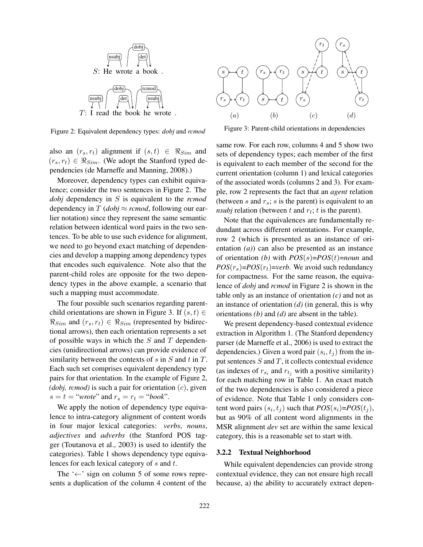

Figure 2: Equivalent dependency types: *dobj* and *rcmod*

also an  $(r_s, r_t)$  alignment if  $(s, t) \in \Re_{Sim}$  and  $(r_s, r_t) \in \Re_{Sim}$ . (We adopt the Stanford typed dependencies (de Marneffe and Manning, 2008).)

Moreover, dependency types can exhibit equivalence; consider the two sentences in Figure 2. The *dobj* dependency in S is equivalent to the *rcmod* dependency in  $T (dobj \approx remod,$  following our earlier notation) since they represent the same semantic relation between identical word pairs in the two sentences. To be able to use such evidence for alignment, we need to go beyond exact matching of dependencies and develop a mapping among dependency types that encodes such equivalence. Note also that the parent-child roles are opposite for the two dependency types in the above example, a scenario that such a mapping must accommodate.

The four possible such scenarios regarding parentchild orientations are shown in Figure 3. If  $(s, t) \in$  $\Re_{Sim}$  and  $(r_s, r_t) \in \Re_{Sim}$  (represented by bidirectional arrows), then each orientation represents a set of possible ways in which the  $S$  and  $T$  dependencies (unidirectional arrows) can provide evidence of similarity between the contexts of  $s$  in  $S$  and  $t$  in  $T$ . Each such set comprises equivalent dependency type pairs for that orientation. In the example of Figure 2, *(dobj, rcmod)* is such a pair for orientation (c), given  $s = t = "wrote"$  and  $r_s = r_t = "book".$ 

We apply the notion of dependency type equivalence to intra-category alignment of content words in four major lexical categories: *verbs*, *nouns*, *adjectives* and *adverbs* (the Stanford POS tagger (Toutanova et al., 2003) is used to identify the categories). Table 1 shows dependency type equivalences for each lexical category of s and t.

The ' $\leftarrow$ ' sign on column 5 of some rows represents a duplication of the column 4 content of the



Figure 3: Parent-child orientations in dependencies

same row. For each row, columns 4 and 5 show two sets of dependency types; each member of the first is equivalent to each member of the second for the current orientation (column 1) and lexical categories of the associated words (columns 2 and 3). For example, row 2 represents the fact that an *agent* relation (between s and  $r_s$ ; s is the parent) is equivalent to an  $nsubj$  relation (between  $t$  and  $r_t$ ;  $t$  is the parent).

Note that the equivalences are fundamentally redundant across different orientations. For example, row 2 (which is presented as an instance of orientation *(a)*) can also be presented as an instance of orientation *(b)* with *POS*(s)=*POS*(t)=*noun* and  $POS(r<sub>s</sub>)=POS(r<sub>t</sub>)=verb. We avoid such redundancy$ for compactness. For the same reason, the equivalence of *dobj* and *rcmod* in Figure 2 is shown in the table only as an instance of orientation *(c)* and not as an instance of orientation *(d)* (in general, this is why orientations *(b)* and *(d)* are absent in the table).

We present dependency-based contextual evidence extraction in Algorithm 1. (The Stanford dependency parser (de Marneffe et al., 2006) is used to extract the dependencies.) Given a word pair  $(s_i, t_j)$  from the input sentences  $S$  and  $T$ , it collects contextual evidence (as indexes of  $r_{s_i}$  and  $r_{t_j}$  with a positive similarity) for each matching row in Table 1. An exact match of the two dependencies is also considered a piece of evidence. Note that Table 1 only considers content word pairs  $(s_i, t_j)$  such that  $POS(s_i)=POS(t_j)$ , but as 90% of all content word alignments in the MSR alignment *dev* set are within the same lexical category, this is a reasonable set to start with.

#### 3.2.2 Textual Neighborhood

While equivalent dependencies can provide strong contextual evidence, they can not ensure high recall because, a) the ability to accurately extract depen-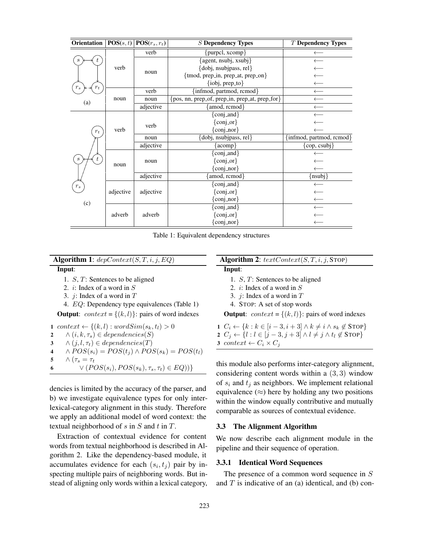| Orientation                        | POS(s,t)  | $\overline{\textbf{POS}}(r_s,r_t)$ | <b>S</b> Dependency Types                      | T Dependency Types             |  |
|------------------------------------|-----------|------------------------------------|------------------------------------------------|--------------------------------|--|
|                                    | verb      | verb                               | ${purel, xcomp}$                               | $\longleftarrow$               |  |
|                                    |           | noun                               | {agent, nsubj, xsubj}                          | $\longleftarrow$               |  |
|                                    |           |                                    | {dobj, nsubjpass, rel}                         | $\longleftarrow$               |  |
|                                    |           |                                    | {tmod, prep_in, prep_at, prep_on}              | $\leftarrow$                   |  |
|                                    |           |                                    | {iobj, prep_to}                                | $\leftarrow$                   |  |
| $r_s$<br>$r_t$                     | noun      | verb                               | {infmod, partmod, rcmod}                       | $\leftarrow$                   |  |
| (a)                                |           | noun                               | {pos, nn, prep_of, prep_in, prep_at, prep_for} | $\leftarrow$                   |  |
|                                    |           | adjective                          | {amod, rcmod}                                  | $\longleftarrow$               |  |
|                                    | verb      | verb                               | $\{conj_and\}$                                 |                                |  |
|                                    |           |                                    | $\{conj_or\}$                                  |                                |  |
| $r_t$                              |           |                                    | $\{\text{conj\_nor}\}$                         |                                |  |
|                                    |           | noun                               | {dobj, nsubjpass, rel}                         | {infmod, partmod, rcmod}       |  |
|                                    |           | adjective                          | [acomp]                                        | $\{\text{cop}, \text{csubj}\}$ |  |
|                                    | noun      | noun                               | [conj_and]                                     |                                |  |
| $\boldsymbol{s}$<br>$r_{s}$<br>(c) |           |                                    | $\{\text{conj\_or}\}\$                         |                                |  |
|                                    |           |                                    | $\{conj\_nor\}$                                | $\leftarrow$                   |  |
|                                    |           | adjective                          | amod, rcmod}                                   | [nsubj]                        |  |
|                                    | adjective | adjective                          | {conj_and}                                     | $\leftarrow$                   |  |
|                                    |           |                                    | $\{conj_or\}$                                  | $\leftarrow$                   |  |
|                                    |           |                                    | $\{\text{conj\_nor}\}$                         | $\longleftarrow$               |  |
|                                    |           | adverb                             | $\{\text{conj\_and}\}$                         | $\leftarrow$                   |  |
|                                    | adverb    |                                    | $\{conj-or\}$                                  |                                |  |
|                                    |           |                                    | $\{\text{conj\_nor}\}$                         |                                |  |

Table 1: Equivalent dependency structures

Algorithm 1:  $depContext(S, T, i, j, EQ)$ 

Input:

- 1. S, T: Sentences to be aligned
- 2.  $i$ : Index of a word in  $S$
- 3.  $j$ : Index of a word in  $T$

4. EQ: Dependency type equivalences (Table 1)

**Output:**  $context = \{(k, l)\}$ : pairs of word indexes

1 context  $\leftarrow \{(k, l) : wordSim(s_k, t_l) > 0$ <br>2  $\wedge (i, k, \tau_s) \in dependencies(S)$  $\wedge (i, k, \tau_s) \in dependencies(S)$ <br>3  $\wedge (i, l, \tau_t) \in dependencies(T)$  $\wedge (j, l, \tau_t) \in dependencies(T)$ <br>4  $\wedge POS(s_i) = POS(t_i) \wedge PO_i$  $\wedge POS(s_i) = POS(t_j) \wedge POS(s_k) = POS(t_l)$ <br>5  $\wedge (\tau_s = \tau_t)$  $\wedge (\tau_s = \tau_t$ <br>6  $\vee (P(s))$  $\vee (POS(s_i), POS(s_k), \tau_s, \tau_t) \in EQ))$ 

dencies is limited by the accuracy of the parser, and b) we investigate equivalence types for only interlexical-category alignment in this study. Therefore we apply an additional model of word context: the textual neighborhood of s in  $S$  and t in  $T$ .

Extraction of contextual evidence for content words from textual neighborhood is described in Algorithm 2. Like the dependency-based module, it accumulates evidence for each  $(s_i, t_j)$  pair by inspecting multiple pairs of neighboring words. But instead of aligning only words within a lexical category,

# Algorithm 2:  $text{CartContext}(S, T, i, j, \text{STOP})$

### Input:

- 1. S, T: Sentences to be aligned
- 2.  $i$ : Index of a word in  $S$
- 3.  $j$ : Index of a word in  $T$
- 4. STOP: A set of stop words

**Output:**  $context = \{(k, l)\}$ : pairs of word indexes

1  $C_i \leftarrow \{k : k \in [i-3, i+3] \wedge k \neq i \wedge s_k \notin \text{STOP}\}$ 2  $C_i \leftarrow \{l : l \in [j-3, j+3] \wedge l \neq j \wedge t_l \notin \text{STOP}\}$ 3 context  $\leftarrow C_i \times C_j$ 

this module also performs inter-category alignment, considering content words within a (3, 3) window of  $s_i$  and  $t_j$  as neighbors. We implement relational equivalence  $(\approx)$  here by holding any two positions within the window equally contributive and mutually comparable as sources of contextual evidence.

#### 3.3 The Alignment Algorithm

We now describe each alignment module in the pipeline and their sequence of operation.

### 3.3.1 Identical Word Sequences

The presence of a common word sequence in S and  $T$  is indicative of an (a) identical, and (b) con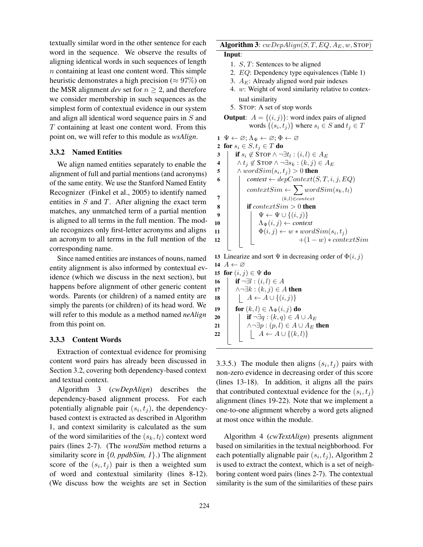textually similar word in the other sentence for each word in the sequence. We observe the results of aligning identical words in such sequences of length n containing at least one content word. This simple heuristic demonstrates a high precision ( $\approx 97\%$ ) on the MSR alignment *dev* set for  $n \geq 2$ , and therefore we consider membership in such sequences as the simplest form of contextual evidence in our system and align all identical word sequence pairs in S and T containing at least one content word. From this point on, we will refer to this module as *wsAlign*.

# 3.3.2 Named Entities

We align named entities separately to enable the alignment of full and partial mentions (and acronyms) of the same entity. We use the Stanford Named Entity Recognizer (Finkel et al., 2005) to identify named entities in  $S$  and  $T$ . After aligning the exact term matches, any unmatched term of a partial mention is aligned to all terms in the full mention. The module recognizes only first-letter acronyms and aligns an acronym to all terms in the full mention of the corresponding name.

Since named entities are instances of nouns, named entity alignment is also informed by contextual evidence (which we discuss in the next section), but happens before alignment of other generic content words. Parents (or children) of a named entity are simply the parents (or children) of its head word. We will refer to this module as a method named *neAlign* from this point on.

# 3.3.3 Content Words

Extraction of contextual evidence for promising content word pairs has already been discussed in Section 3.2, covering both dependency-based context and textual context.

Algorithm 3 (*cwDepAlign*) describes the dependency-based alignment process. For each potentially alignable pair  $(s_i, t_j)$ , the dependencybased context is extracted as described in Algorithm 1, and context similarity is calculated as the sum of the word similarities of the  $(s_k, t_l)$  context word pairs (lines 2-7). (The *wordSim* method returns a similarity score in {*0, ppdbSim, 1*}.) The alignment score of the  $(s_i, t_j)$  pair is then a weighted sum of word and contextual similarity (lines 8-12). (We discuss how the weights are set in Section

# Algorithm 3:  $cwDepAlign(S, T, EQ, A_E, w,$  STOP) Input:

- 1. S, T: Sentences to be aligned
- 2. EQ: Dependency type equivalences (Table 1)
- 3.  $A_E$ : Already aligned word pair indexes
- 4. w: Weight of word similarity relative to contextual similarity
- 5. STOP: A set of stop words

**Output:** 
$$
A = \{(i, j)\}
$$
: word index pairs of aligned words  $\{(s_i, t_j)\}$  where  $s_i \in S$  and  $t_j \in T$ 

 $1 \Psi \leftarrow \varnothing; \Lambda_{\Psi} \leftarrow \varnothing; \Phi \leftarrow \varnothing$ 

2 for  $s_i \in S$ ,  $t_j \in T$  do

if s<sup>i</sup> 6∈ STOP ∧ ¬∃t<sup>l</sup> <sup>3</sup> : (i, l) ∈ A<sup>E</sup> <sup>4</sup> ∧ t<sup>j</sup> 6∈ STOP ∧ ¬∃s<sup>k</sup> : (k, j) ∈ A<sup>E</sup> ∧ wordSim(s<sup>i</sup> <sup>5</sup> , t<sup>j</sup> ) > 0 then <sup>6</sup> *context* ← depContext(S, T, i, j, EQ) contextSim ← X (k,l)∈context wordSim(sk, tl) 7 8 if contextSim > 0 then <sup>9</sup> Ψ ← Ψ ∪ {(i, j)} <sup>10</sup> ΛΨ(i, j) ← *context* Φ(i, j) ← w ∗ wordSim(s<sup>i</sup> <sup>11</sup> , t<sup>j</sup> ) <sup>12</sup> +(1 − w) ∗ contextSim

13 Linearize and sort  $\Psi$  in decreasing order of  $\Phi(i, j)$ 14  $A \leftarrow \varnothing$ 

15 for  $(i, j) \in \Psi$  do<br>16 **if**  $\neg \exists l : (i, l)$ 16 **if**  $\neg \exists l : (i, l) \in A$ <br>17  $\land \neg \exists k : (k, j) \in A$ 17  $\wedge \neg \exists k : (k, j) \in A$  then<br>
18  $\upharpoonright$   $A \leftarrow A \cup \{(i, j)\}\$  $\left[ \begin{array}{c} A \leftarrow A \cup \{(i,j)\}\end{array} \right]$ 19 for  $(k, l) \in \Lambda_{\Psi}(i, j)$  do<br>
20 for  $\mathbf{f} \cap \exists q : (k, q) \in A$ 20 if  $\neg \exists q : (k, q) \in A \cup A_E$ <br>21  $\qquad \wedge \neg \exists p : (p, l) \in A \cup A_E$ 21  $\wedge \neg \exists p : (p, l) \in A \cup A_E$  then<br>22  $\upharpoonright$   $A \leftarrow A \cup \{(k, l)\}$  $\left[ \begin{array}{c} A \leftarrow A \cup \{(k,l)\}\end{array} \right]$ 

3.3.5.) The module then aligns  $(s_i, t_j)$  pairs with non-zero evidence in decreasing order of this score (lines 13-18). In addition, it aligns all the pairs that contributed contextual evidence for the  $(s_i, t_j)$ alignment (lines 19-22). Note that we implement a one-to-one alignment whereby a word gets aligned at most once within the module.

Algorithm 4 (*cwTextAlign*) presents alignment based on similarities in the textual neighborhood. For each potentially alignable pair  $(s_i, t_j)$ , Algorithm 2 is used to extract the context, which is a set of neighboring content word pairs (lines 2-7). The contextual similarity is the sum of the similarities of these pairs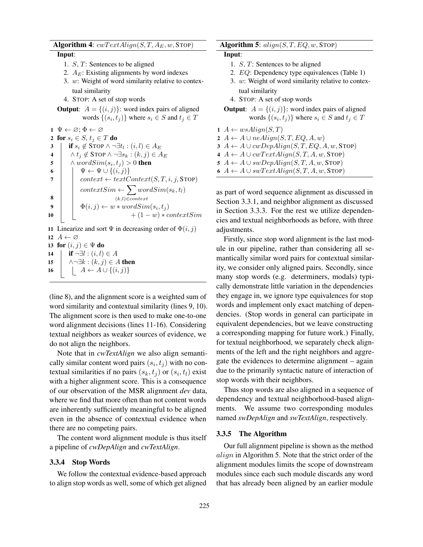# Algorithm 4:  $cwTextAlign(S, T, A_E, w,$  STOP)

#### Input:

- 1. S, T: Sentences to be aligned
- 2.  $A_E$ : Existing alignments by word indexes
- 3. w: Weight of word similarity relative to contextual similarity
- 4. STOP: A set of stop words
- **Output:**  $A = \{(i, j)\}$ : word index pairs of aligned words  $\{(s_i, t_j)\}\$  where  $s_i \in S$  and  $t_j \in T$

 $1 \Psi \leftarrow \varnothing; \Phi \leftarrow \varnothing$ 2 for  $s_i \in S$ ,  $t_j \in T$  do<br>3 **if**  $s_i \notin$  STOP  $\wedge \neg$ **if**  $s_i \notin \text{STOP } \land \neg \exists t_l : (i, l) \in A_E$ <br>**4**  $\land t_i \notin \text{STOP } \land \neg \exists s_k : (k, j) \in A$ 4  $\wedge t_j \notin \text{STOP} \wedge \neg \exists s_k : (k, j) \in A_E$ <br>5  $\wedge wordsim(s_i, t_i) > 0$  then 5  $\wedge wordSim(s_i, t_j) > 0$  then<br>6  $\wedge \psi \leftarrow \Psi \cup \{(i, j)\}$ 6  $\Psi \leftarrow \Psi \cup \{(i, j)\}\$ <br>7 context  $\leftarrow \text{tertC}$  $context \leftarrow textContext(S, T, i, j, STOP)$  $contextSim \leftarrow \sum$ (k,l)∈context  $wordSim(s_k, t_l)$ 8  $\begin{array}{c|c|c} \mathbf{9} & \Phi(i,j) \leftarrow w * wordSim(s_i, t_j) \\ \mathbf{10} & + (1-w) * c \end{array}$  $+(1 - w) * contextSim$ 

11 Linearize and sort  $\Psi$  in decreasing order of  $\Phi(i, j)$ 12  $A \leftarrow \varnothing$ 

13 for  $(i, j) \in \Psi$  do<br>14 for  $(i, l)$ 14  $\mathbf{if} \neg \exists l : (i, l) \in A$ <br>15  $\land \neg \exists k : (k, j) \in A$ 15  $\bigcap_{16} \bigcap_{i=1}^{n} k : (k, j) \in A$  then<br>16  $\bigcap_{i=1}^{n} A \leftarrow A \cup \{(i, j)\}\$  $\left[ \begin{array}{c} A \leftarrow A \cup \{(i,j)\}\end{array} \right]$ 

(line 8), and the alignment score is a weighted sum of word similarity and contextual similarity (lines 9, 10). The alignment score is then used to make one-to-one word alignment decisions (lines 11-16). Considering textual neighbors as weaker sources of evidence, we do not align the neighbors.

Note that in *cwTextAlign* we also align semantically similar content word pairs  $(s_i, t_j)$  with no contextual similarities if no pairs  $(s_k, t_j)$  or  $(s_i, t_l)$  exist with a higher alignment score. This is a consequence of our observation of the MSR alignment *dev* data, where we find that more often than not content words are inherently sufficiently meaningful to be aligned even in the absence of contextual evidence when there are no competing pairs.

The content word alignment module is thus itself a pipeline of *cwDepAlign* and *cwTextAlign*.

#### 3.3.4 Stop Words

We follow the contextual evidence-based approach to align stop words as well, some of which get aligned

# Algorithm 5:  $align(S, T, EQ, w, STOP)$

# Input:

- 1. S, T: Sentences to be aligned
- 2. EQ: Dependency type equivalences (Table 1)
- 3. w: Weight of word similarity relative to contextual similarity
- 4. STOP: A set of stop words
- **Output**:  $A = \{(i, j)\}\$ : word index pairs of aligned words  $\{(s_i, t_j)\}\$  where  $s_i \in S$  and  $t_j \in T$

 $1 \ A \leftarrow ws\text{}align(S,T)$  $A \leftarrow A \cup \text{ne} \text{Align}(S, T, EQ, A, w)$  $A \leftarrow A \cup c w DepAlign(S, T, EQ, A, w, STOP)$  $A \leftarrow A \cup cwrTextAlign(S, T, A, w, STOP)$  $A \leftarrow A \cup \text{swDepthign}(S, T, A, w, \text{STOP})$  $A \leftarrow A \cup swTextAlign(S, T, A, w, STOP)$ 

as part of word sequence alignment as discussed in Section 3.3.1, and neighbor alignment as discussed in Section 3.3.3. For the rest we utilize dependencies and textual neighborhoods as before, with three adjustments.

Firstly, since stop word alignment is the last module in our pipeline, rather than considering all semantically similar word pairs for contextual similarity, we consider only aligned pairs. Secondly, since many stop words (e.g. determiners, modals) typically demonstrate little variation in the dependencies they engage in, we ignore type equivalences for stop words and implement only exact matching of dependencies. (Stop words in general can participate in equivalent dependencies, but we leave constructing a corresponding mapping for future work.) Finally, for textual neighborhood, we separately check alignments of the left and the right neighbors and aggregate the evidences to determine alignment – again due to the primarily syntactic nature of interaction of stop words with their neighbors.

Thus stop words are also aligned in a sequence of dependency and textual neighborhood-based alignments. We assume two corresponding modules named *swDepAlign* and *swTextAlign*, respectively.

#### 3.3.5 The Algorithm

Our full alignment pipeline is shown as the method align in Algorithm 5. Note that the strict order of the alignment modules limits the scope of downstream modules since each such module discards any word that has already been aligned by an earlier module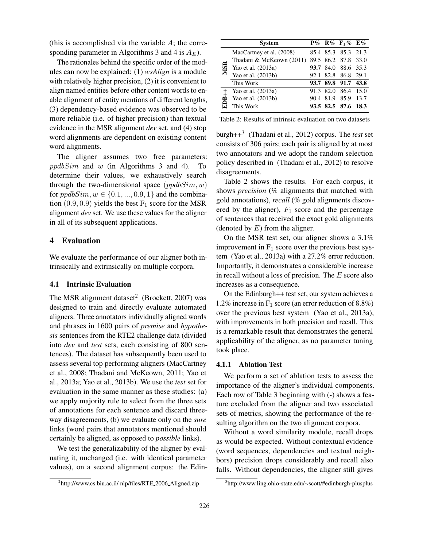(this is accomplished via the variable  $A$ ; the corresponding parameter in Algorithms 3 and 4 is  $A_E$ ).

The rationales behind the specific order of the modules can now be explained: (1) *wsAlign* is a module with relatively higher precision, (2) it is convenient to align named entities before other content words to enable alignment of entity mentions of different lengths, (3) dependency-based evidence was observed to be more reliable (i.e. of higher precision) than textual evidence in the MSR alignment *dev* set, and (4) stop word alignments are dependent on existing content word alignments.

The aligner assumes two free parameters:  $ppdbSim$  and w (in Algorithms 3 and 4). To determine their values, we exhaustively search through the two-dimensional space  $(ppdbSim, w)$ for  $ppdbSim, w \in \{0.1, ..., 0.9, 1\}$  and the combination  $(0.9, 0.9)$  yields the best  $F_1$  score for the MSR alignment *dev* set. We use these values for the aligner in all of its subsequent applications.

# 4 Evaluation

We evaluate the performance of our aligner both intrinsically and extrinsically on multiple corpora.

### 4.1 Intrinsic Evaluation

The MSR alignment dataset<sup>2</sup> (Brockett, 2007) was designed to train and directly evaluate automated aligners. Three annotators individually aligned words and phrases in 1600 pairs of *premise* and *hypothesis* sentences from the RTE2 challenge data (divided into *dev* and *test* sets, each consisting of 800 sentences). The dataset has subsequently been used to assess several top performing aligners (MacCartney et al., 2008; Thadani and McKeown, 2011; Yao et al., 2013a; Yao et al., 2013b). We use the *test* set for evaluation in the same manner as these studies: (a) we apply majority rule to select from the three sets of annotations for each sentence and discard threeway disagreements, (b) we evaluate only on the *sure* links (word pairs that annotators mentioned should certainly be aligned, as opposed to *possible* links).

We test the generalizability of the aligner by evaluating it, unchanged (i.e. with identical parameter values), on a second alignment corpus: the Edin-

|            | Svstem                   |      |           | P% R% $F_1\%$ E%    |      |
|------------|--------------------------|------|-----------|---------------------|------|
| <b>MSR</b> | MacCartney et al. (2008) |      |           | 85.4 85.3 85.3 21.3 |      |
|            | Thadani & McKeown (2011) |      |           | 89.5 86.2 87.8 33.0 |      |
|            | Yao et al. (2013a)       |      |           | 93.7 84.0 88.6 35.3 |      |
|            | Yao et al. (2013b)       | 92.1 |           | 82.8 86.8 29.1      |      |
|            | This Work                |      |           | 93.7 89.8 91.7 43.8 |      |
|            | Yao et al. (2013a)       |      | 91.3 82.0 | 86.4 15.0           |      |
| EDB++      | Yao et al. (2013b)       |      | 90.4 81.9 | 85.9                | 13.7 |
|            | This Work                |      |           | 93.5 82.5 87.6 18.3 |      |

Table 2: Results of intrinsic evaluation on two datasets

burgh++<sup>3</sup> (Thadani et al., 2012) corpus. The *test* set consists of 306 pairs; each pair is aligned by at most two annotators and we adopt the random selection policy described in (Thadani et al., 2012) to resolve disagreements.

Table 2 shows the results. For each corpus, it shows *precision* (% alignments that matched with gold annotations), *recall* (% gold alignments discovered by the aligner),  $F_1$  score and the percentage of sentences that received the exact gold alignments (denoted by  $E$ ) from the aligner.

On the MSR test set, our aligner shows a 3.1% improvement in  $F_1$  score over the previous best system (Yao et al., 2013a) with a 27.2% error reduction. Importantly, it demonstrates a considerable increase in recall without a loss of precision. The E score also increases as a consequence.

On the Edinburgh++ test set, our system achieves a 1.2% increase in  $F_1$  score (an error reduction of 8.8%) over the previous best system (Yao et al., 2013a), with improvements in both precision and recall. This is a remarkable result that demonstrates the general applicability of the aligner, as no parameter tuning took place.

#### 4.1.1 Ablation Test

We perform a set of ablation tests to assess the importance of the aligner's individual components. Each row of Table 3 beginning with (-) shows a feature excluded from the aligner and two associated sets of metrics, showing the performance of the resulting algorithm on the two alignment corpora.

Without a word similarity module, recall drops as would be expected. Without contextual evidence (word sequences, dependencies and textual neighbors) precision drops considerably and recall also falls. Without dependencies, the aligner still gives

<sup>&</sup>lt;sup>2</sup>http://www.cs.biu.ac.il/ nlp/files/RTE\_2006\_Aligned.zip

<sup>3</sup> http://www.ling.ohio-state.edu/∼scott/#edinburgh-plusplus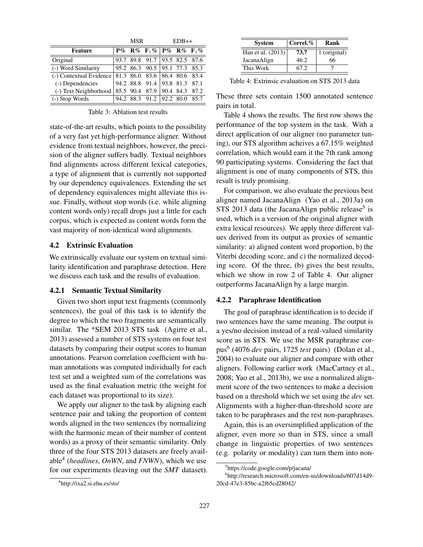|                                                           | MSR |  | $EDB++$                           |                       |  |      |
|-----------------------------------------------------------|-----|--|-----------------------------------|-----------------------|--|------|
| Feature                                                   |     |  | $P\%$ R% $F_1\%$ $P\%$ R% $F_1\%$ |                       |  |      |
| Original                                                  |     |  | 93.7 89.8 91.7 93.5 82.5 87.6     |                       |  |      |
| (-) Word Similarity                                       |     |  | 95.2 86.3 90.5 95.1 77.3 85.3     |                       |  |      |
| (-) Contextual Evidence   81.3 86.0 83.6   86.4 80.6 83.4 |     |  |                                   |                       |  |      |
| (-) Dependencies                                          |     |  | 94.2 88.8 91.4 93.8 81.3 87.1     |                       |  |      |
| (-) Text Neighborhood                                     |     |  | 85.5 90.4 87.9                    | $ 90.4 \t84.3 \t87.2$ |  |      |
| (-) Stop Words                                            |     |  | 94.2 88.3 91.2 92.2 80.0          |                       |  | 85.7 |

Table 3: Ablation test results

state-of-the-art results, which points to the possibility of a very fast yet high-performance aligner. Without evidence from textual neighbors, however, the precision of the aligner suffers badly. Textual neighbors find alignments across different lexical categories, a type of alignment that is currently not supported by our dependency equivalences. Extending the set of dependency equivalences might alleviate this issue. Finally, without stop words (i.e. while aligning content words only) recall drops just a little for each corpus, which is expected as content words form the vast majority of non-identical word alignments.

# 4.2 Extrinsic Evaluation

We extrinsically evaluate our system on textual similarity identification and paraphrase detection. Here we discuss each task and the results of evaluation.

#### 4.2.1 Semantic Textual Similarity

Given two short input text fragments (commonly sentences), the goal of this task is to identify the degree to which the two fragments are semantically similar. The \*SEM 2013 STS task (Agirre et al., 2013) assessed a number of STS systems on four test datasets by comparing their output scores to human annotations. Pearson correlation coefficient with human annotations was computed individually for each test set and a weighted sum of the correlations was used as the final evaluation metric (the weight for each dataset was proportional to its size).

We apply our aligner to the task by aligning each sentence pair and taking the proportion of content words aligned in the two sentences (by normalizing with the harmonic mean of their number of content words) as a proxy of their semantic similarity. Only three of the four STS 2013 datasets are freely available<sup>4</sup> (*headlines*, *OnWN*, and *FNWN*), which we use for our experiments (leaving out the *SMT* dataset).

Table 4: Extrinsic evaluation on STS 2013 data

These three sets contain 1500 annotated sentence pairs in total.

Table 4 shows the results. The first row shows the performance of the top system in the task. With a direct application of our aligner (no parameter tuning), our STS algorithm acheives a 67.15% weighted correlation, which would earn it the 7th rank among 90 participating systems. Considering the fact that alignment is one of many components of STS, this result is truly promising.

For comparison, we also evaluate the previous best aligner named JacanaAlign (Yao et al., 2013a) on  $STS$  2013 data (the JacanaAlign public release<sup>5</sup> is used, which is a version of the original aligner with extra lexical resources). We apply three different values derived from its output as proxies of semantic similarity: a) aligned content word proportion, b) the Viterbi decoding score, and c) the normalized decoding score. Of the three, (b) gives the best results, which we show in row 2 of Table 4. Our aligner outperforms JacanaAlign by a large margin.

### 4.2.2 Paraphrase Identification

The goal of paraphrase identification is to decide if two sentences have the same meaning. The output is a yes/no decision instead of a real-valued similarity score as in STS. We use the MSR paraphrase corpus<sup>6</sup> (4076 *dev* pairs, 1725 *test* pairs) (Dolan et al., 2004) to evaluate our aligner and compare with other aligners. Following earlier work (MacCartney et al., 2008; Yao et al., 2013b), we use a normalized alignment score of the two sentences to make a decision based on a threshold which we set using the *dev* set. Alignments with a higher-than-threshold score are taken to be paraphrases and the rest non-paraphrases.

Again, this is an oversimplified application of the aligner, even more so than in STS, since a small change in linguistic properties of two sentences (e.g. polarity or modality) can turn them into non-

System Correl.% Rank Han et al.  $(2013)$  73.7 1 (original) JacanaAlign  $\begin{array}{|c|c|c|c|} \hline 46.2 & 66 \hline \end{array}$ This Work 67.2

<sup>5</sup> https://code.google.com/p/jacana/

<sup>6</sup> http://research.microsoft.com/en-us/downloads/607d14d9- 20cd-47e3-85bc-a2f65cd28042/

<sup>4</sup> http://ixa2.si.ehu.es/sts/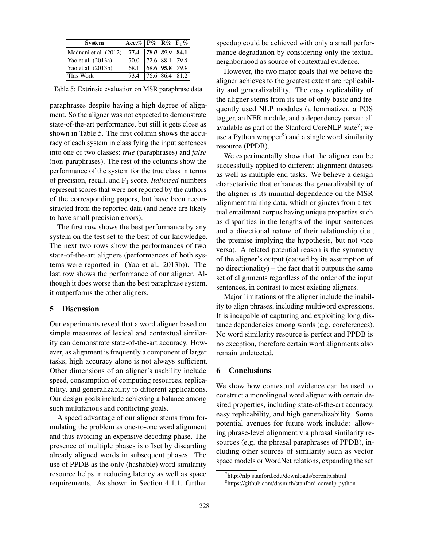| <b>System</b>         | Acc.% $P\%$ R% $F_1\%$ |                       |                |
|-----------------------|------------------------|-----------------------|----------------|
| Madnani et al. (2012) | 77.4                   | 79.089.984.1          |                |
| Yao et al. (2013a)    | 70.0                   | $ 72.6 \t88.1 \t79.6$ |                |
| Yao et al. (2013b)    | 68.1                   |                       | 68.6 95.8 79.9 |
| This Work             | 734                    | 76.6 86.4 81.2        |                |

Table 5: Extrinsic evaluation on MSR paraphrase data

paraphrases despite having a high degree of alignment. So the aligner was not expected to demonstrate state-of-the-art performance, but still it gets close as shown in Table 5. The first column shows the accuracy of each system in classifying the input sentences into one of two classes: *true* (paraphrases) and *false* (non-paraphrases). The rest of the columns show the performance of the system for the true class in terms of precision, recall, and F<sup>1</sup> score. *Italicized* numbers represent scores that were not reported by the authors of the corresponding papers, but have been reconstructed from the reported data (and hence are likely to have small precision errors).

The first row shows the best performance by any system on the test set to the best of our knowledge. The next two rows show the performances of two state-of-the-art aligners (performances of both systems were reported in (Yao et al., 2013b)). The last row shows the performance of our aligner. Although it does worse than the best paraphrase system, it outperforms the other aligners.

### 5 Discussion

Our experiments reveal that a word aligner based on simple measures of lexical and contextual similarity can demonstrate state-of-the-art accuracy. However, as alignment is frequently a component of larger tasks, high accuracy alone is not always sufficient. Other dimensions of an aligner's usability include speed, consumption of computing resources, replicability, and generalizability to different applications. Our design goals include achieving a balance among such multifarious and conflicting goals.

A speed advantage of our aligner stems from formulating the problem as one-to-one word alignment and thus avoiding an expensive decoding phase. The presence of multiple phases is offset by discarding already aligned words in subsequent phases. The use of PPDB as the only (hashable) word similarity resource helps in reducing latency as well as space requirements. As shown in Section 4.1.1, further speedup could be achieved with only a small performance degradation by considering only the textual neighborhood as source of contextual evidence.

However, the two major goals that we believe the aligner achieves to the greatest extent are replicability and generalizability. The easy replicability of the aligner stems from its use of only basic and frequently used NLP modules (a lemmatizer, a POS tagger, an NER module, and a dependency parser: all available as part of the Stanford CoreNLP suite<sup>7</sup>; we use a Python wrapper<sup>8</sup>) and a single word similarity resource (PPDB).

We experimentally show that the aligner can be successfully applied to different alignment datasets as well as multiple end tasks. We believe a design characteristic that enhances the generalizability of the aligner is its minimal dependence on the MSR alignment training data, which originates from a textual entailment corpus having unique properties such as disparities in the lengths of the input sentences and a directional nature of their relationship (i.e., the premise implying the hypothesis, but not vice versa). A related potential reason is the symmetry of the aligner's output (caused by its assumption of no directionality) – the fact that it outputs the same set of alignments regardless of the order of the input sentences, in contrast to most existing aligners.

Major limitations of the aligner include the inability to align phrases, including multiword expressions. It is incapable of capturing and exploiting long distance dependencies among words (e.g. coreferences). No word similarity resource is perfect and PPDB is no exception, therefore certain word alignments also remain undetected.

#### 6 Conclusions

We show how contextual evidence can be used to construct a monolingual word aligner with certain desired properties, including state-of-the-art accuracy, easy replicability, and high generalizability. Some potential avenues for future work include: allowing phrase-level alignment via phrasal similarity resources (e.g. the phrasal paraphrases of PPDB), including other sources of similarity such as vector space models or WordNet relations, expanding the set

<sup>7</sup> http://nlp.stanford.edu/downloads/corenlp.shtml

<sup>8</sup> https://github.com/dasmith/stanford-corenlp-python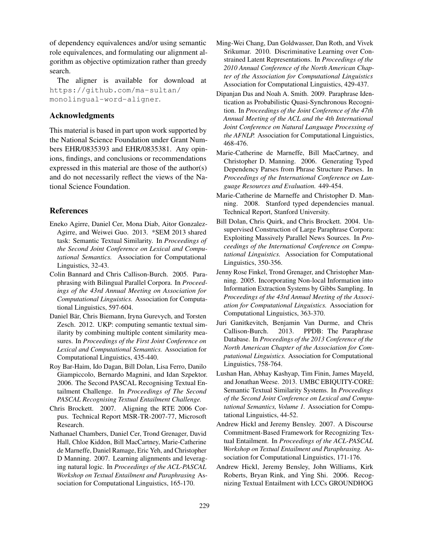of dependency equivalences and/or using semantic role equivalences, and formulating our alignment algorithm as objective optimization rather than greedy search.

The aligner is available for download at https://github.com/ma-sultan/ monolingual-word-aligner.

# Acknowledgments

This material is based in part upon work supported by the National Science Foundation under Grant Numbers EHR/0835393 and EHR/0835381. Any opinions, findings, and conclusions or recommendations expressed in this material are those of the author(s) and do not necessarily reflect the views of the National Science Foundation.

# References

- Eneko Agirre, Daniel Cer, Mona Diab, Aitor Gonzalez-Agirre, and Weiwei Guo. 2013. \*SEM 2013 shared task: Semantic Textual Similarity. In *Proceedings of the Second Joint Conference on Lexical and Computational Semantics.* Association for Computational Linguistics, 32-43.
- Colin Bannard and Chris Callison-Burch. 2005. Paraphrasing with Bilingual Parallel Corpora. In *Proceedings of the 43rd Annual Meeting on Association for Computational Linguistics.* Association for Computational Linguistics, 597-604.
- Daniel Bär, Chris Biemann, Iryna Gurevych, and Torsten Zesch. 2012. UKP: computing semantic textual similarity by combining multiple content similarity measures. In *Proceedings of the First Joint Conference on Lexical and Computational Semantics.* Association for Computational Linguistics, 435-440.
- Roy Bar-Haim, Ido Dagan, Bill Dolan, Lisa Ferro, Danilo Giampiccolo, Bernardo Magnini, and Idan Szpektor. 2006. The Second PASCAL Recognising Textual Entailment Challenge. In *Proceedings of The Second PASCAL Recognising Textual Entailment Challenge.*
- Chris Brockett. 2007. Aligning the RTE 2006 Corpus. Technical Report MSR-TR-2007-77, Microsoft Research.
- Nathanael Chambers, Daniel Cer, Trond Grenager, David Hall, Chloe Kiddon, Bill MacCartney, Marie-Catherine de Marneffe, Daniel Ramage, Eric Yeh, and Christopher D Manning. 2007. Learning alignments and leveraging natural logic. In *Proceedings of the ACL-PASCAL Workshop on Textual Entailment and Paraphrasing* Association for Computational Linguistics, 165-170.
- Ming-Wei Chang, Dan Goldwasser, Dan Roth, and Vivek Srikumar. 2010. Discriminative Learning over Constrained Latent Representations. In *Proceedings of the 2010 Annual Conference of the North American Chapter of the Association for Computational Linguistics* Association for Computational Linguistics, 429-437.
- Dipanjan Das and Noah A. Smith. 2009. Paraphrase Identication as Probabilistic Quasi-Synchronous Recognition. In *Proceedings of the Joint Conference of the 47th Annual Meeting of the ACL and the 4th International Joint Conference on Natural Language Processing of the AFNLP.* Association for Computational Linguistics, 468-476.
- Marie-Catherine de Marneffe, Bill MacCartney, and Christopher D. Manning. 2006. Generating Typed Dependency Parses from Phrase Structure Parses. In *Proceedings of the International Conference on Language Resources and Evaluation.* 449-454.
- Marie-Catherine de Marneffe and Christopher D. Manning. 2008. Stanford typed dependencies manual. Technical Report, Stanford University.
- Bill Dolan, Chris Quirk, and Chris Brockett. 2004. Unsupervised Construction of Large Paraphrase Corpora: Exploiting Massively Parallel News Sources. In *Proceedings of the International Conference on Computational Linguistics.* Association for Computational Linguistics, 350-356.
- Jenny Rose Finkel, Trond Grenager, and Christopher Manning. 2005. Incorporating Non-local Information into Information Extraction Systems by Gibbs Sampling. In *Proceedings of the 43rd Annual Meeting of the Association for Computational Linguistics.* Association for Computational Linguistics, 363-370.
- Juri Ganitkevitch, Benjamin Van Durme, and Chris Callison-Burch. 2013. PPDB: The Paraphrase Database. In *Proceedings of the 2013 Conference of the North American Chapter of the Association for Computational Linguistics.* Association for Computational Linguistics, 758-764.
- Lushan Han, Abhay Kashyap, Tim Finin, James Mayeld, and Jonathan Weese. 2013. UMBC EBIQUITY-CORE: Semantic Textual Similarity Systems. In *Proceedings of the Second Joint Conference on Lexical and Computational Semantics, Volume 1.* Association for Computational Linguistics, 44-52.
- Andrew Hickl and Jeremy Bensley. 2007. A Discourse Commitment-Based Framework for Recognizing Textual Entailment. In *Proceedings of the ACL-PASCAL Workshop on Textual Entailment and Paraphrasing.* Association for Computational Linguistics, 171-176.
- Andrew Hickl, Jeremy Bensley, John Williams, Kirk Roberts, Bryan Rink, and Ying Shi. 2006. Recognizing Textual Entailment with LCCs GROUNDHOG